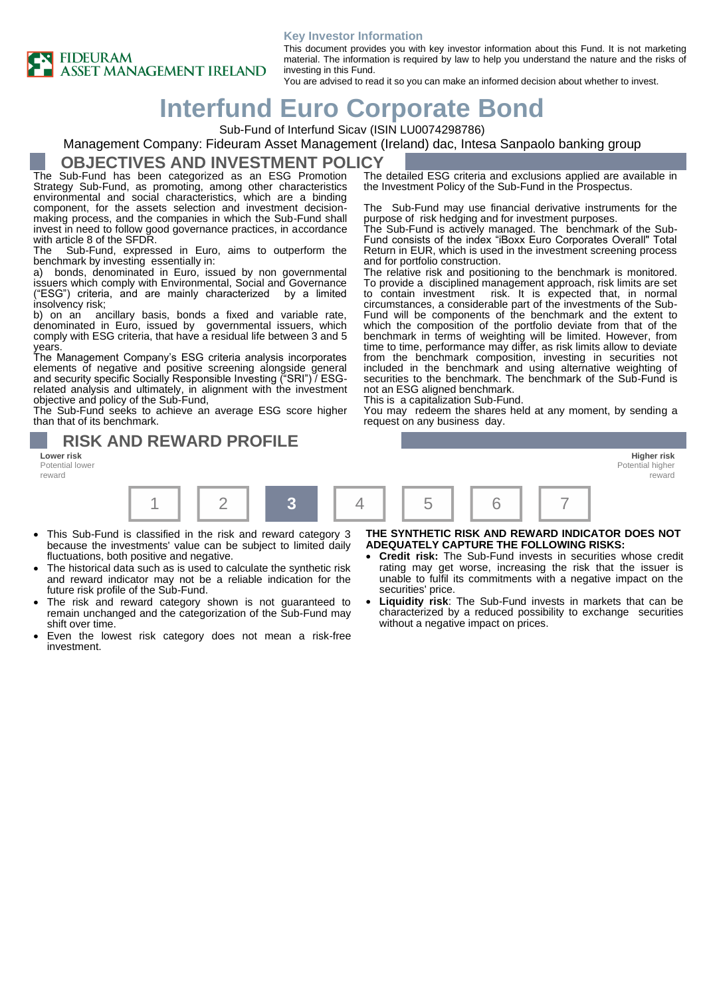#### **Key Investor Information**



This document provides you with key investor information about this Fund. It is not marketing material. The information is required by law to help you understand the nature and the risks of investing in this Fund.

You are advised to read it so you can make an informed decision about whether to invest.

# **Interfund Euro Corporate Bond**

Sub-Fund of Interfund Sicav (ISIN LU0074298786)

### Management Company: Fideuram Asset Management (Ireland) dac, Intesa Sanpaolo banking group

### **OBJECTIVES AND INVESTMENT POLICY**

The Sub-Fund has been categorized as an ESG Promotion Strategy Sub-Fund, as promoting, among other characteristics environmental and social characteristics, which are a binding component, for the assets selection and investment decisionmaking process, and the companies in which the Sub-Fund shall invest in need to follow good governance practices, in accordance with article 8 of the SFDR.<br>The Sub-Fund, express

Sub-Fund, expressed in Euro, aims to outperform the benchmark by investing essentially in:

a) bonds, denominated in Euro, issued by non governmental issuers which comply with Environmental, Social and Governance ("ESG") criteria, and are mainly characterized by a limited insolvency risk;<br>b) on an an

ancillary basis, bonds a fixed and variable rate, denominated in Euro, issued by governmental issuers, which comply with ESG criteria, that have a residual life between 3 and 5 years.

The Management Company's ESG criteria analysis incorporates elements of negative and positive screening alongside general and security specific Socially Responsible Investing ("SRI") / ESGrelated analysis and ultimately, in alignment with the investment objective and policy of the Sub-Fund,

The Sub-Fund seeks to achieve an average ESG score higher than that of its benchmark.

Potential lower reward

The detailed ESG criteria and exclusions applied are available in the Investment Policy of the Sub-Fund in the Prospectus.

The Sub-Fund may use financial derivative instruments for the purpose of risk hedging and for investment purposes.

The Sub-Fund is actively managed. The benchmark of the Sub-Fund consists of the index "iBoxx Euro Corporates Overall" Total Return in EUR, which is used in the investment screening process and for portfolio construction.

The relative risk and positioning to the benchmark is monitored. To provide a disciplined management approach, risk limits are set<br>to contain investment risk. It is expected that, in normal risk. It is expected that, in normal circumstances, a considerable part of the investments of the Sub-Fund will be components of the benchmark and the extent to which the composition of the portfolio deviate from that of the benchmark in terms of weighting will be limited. However, from time to time, performance may differ, as risk limits allow to deviate from the benchmark composition, investing in securities not included in the benchmark and using alternative weighting of securities to the benchmark. The benchmark of the Sub-Fund is not an ESG aligned benchmark.

This is a capitalization Sub-Fund.

You may redeem the shares held at any moment, by sending a request on any business day.



- This Sub-Fund is classified in the risk and reward category 3 because the investments' value can be subject to limited daily fluctuations, both positive and negative.
- The historical data such as is used to calculate the synthetic risk and reward indicator may not be a reliable indication for the future risk profile of the Sub-Fund.
- The risk and reward category shown is not guaranteed to remain unchanged and the categorization of the Sub-Fund may shift over time.
- Even the lowest risk category does not mean a risk-free investment.

**THE SYNTHETIC RISK AND REWARD INDICATOR DOES NOT ADEQUATELY CAPTURE THE FOLLOWING RISKS:**

- **Credit risk:** The Sub-Fund invests in securities whose credit rating may get worse, increasing the risk that the issuer is unable to fulfil its commitments with a negative impact on the securities' price.
- **Liquidity risk**: The Sub-Fund invests in markets that can be characterized by a reduced possibility to exchange securities without a negative impact on prices.